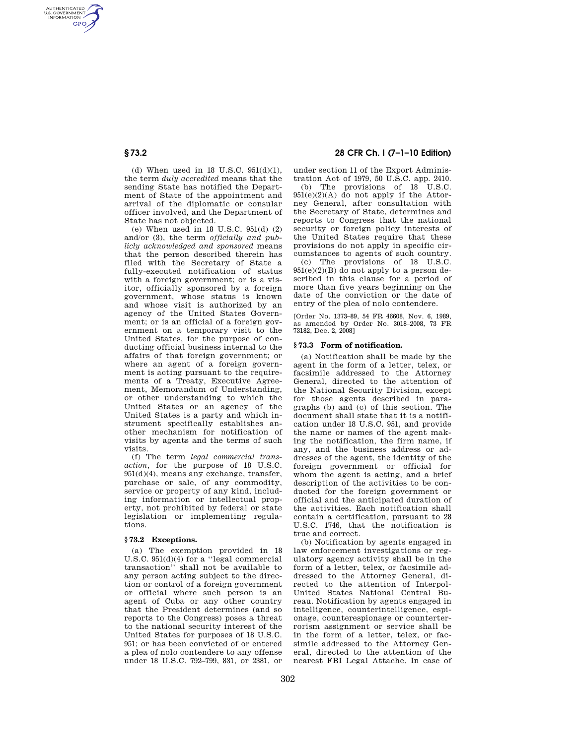AUTHENTICATED<br>U.S. GOVERNMENT<br>INFORMATION **GPO** 

> (d) When used in 18 U.S.C.  $951(d)(1)$ , the term *duly accredited* means that the sending State has notified the Department of State of the appointment and arrival of the diplomatic or consular officer involved, and the Department of State has not objected.

> (e) When used in 18 U.S.C. 951(d) (2) and/or (3), the term *officially and publicly acknowledged and sponsored* means that the person described therein has filed with the Secretary of State a fully-executed notification of status with a foreign government; or is a visitor, officially sponsored by a foreign government, whose status is known and whose visit is authorized by an agency of the United States Government; or is an official of a foreign government on a temporary visit to the United States, for the purpose of conducting official business internal to the affairs of that foreign government; or where an agent of a foreign government is acting pursuant to the requirements of a Treaty, Executive Agreement, Memorandum of Understanding, or other understanding to which the United States or an agency of the United States is a party and which instrument specifically establishes another mechanism for notification of visits by agents and the terms of such visits.

(f) The term *legal commercial transaction,* for the purpose of 18 U.S.C. 951(d)(4), means any exchange, transfer, purchase or sale, of any commodity, service or property of any kind, including information or intellectual property, not prohibited by federal or state legislation or implementing regulations.

## **§ 73.2 Exceptions.**

(a) The exemption provided in 18 U.S.C. 951(d)(4) for a ''legal commercial transaction'' shall not be available to any person acting subject to the direction or control of a foreign government or official where such person is an agent of Cuba or any other country that the President determines (and so reports to the Congress) poses a threat to the national security interest of the United States for purposes of 18 U.S.C.  $951$ ; or has been convicted of or entered a plea of nolo contendere to any offense under 18 U.S.C. 792–799, 831, or 2381, or

# **§ 73.2 28 CFR Ch. I (7–1–10 Edition)**

under section 11 of the Export Administration Act of 1979, 50 U.S.C. app. 2410.

(b) The provisions of 18 U.S.C. 951(e)(2)(A) do not apply if the Attorney General, after consultation with the Secretary of State, determines and reports to Congress that the national security or foreign policy interests of the United States require that these provisions do not apply in specific circumstances to agents of such country.

(c) The provisions of 18 U.S.C.  $951(e)(2)(B)$  do not apply to a person described in this clause for a period of more than five years beginning on the date of the conviction or the date of entry of the plea of nolo contendere.

[Order No. 1373–89, 54 FR 46608, Nov. 6, 1989, as amended by Order No. 3018–2008, 73 FR 73182, Dec. 2, 2008]

## **§ 73.3 Form of notification.**

(a) Notification shall be made by the agent in the form of a letter, telex, or facsimile addressed to the Attorney General, directed to the attention of the National Security Division, except for those agents described in paragraphs (b) and (c) of this section. The document shall state that it is a notification under 18 U.S.C. 951, and provide the name or names of the agent making the notification, the firm name, if any, and the business address or addresses of the agent, the identity of the foreign government or official for whom the agent is acting, and a brief description of the activities to be conducted for the foreign government or official and the anticipated duration of the activities. Each notification shall contain a certification, pursuant to 28 U.S.C. 1746, that the notification is true and correct.

(b) Notification by agents engaged in law enforcement investigations or regulatory agency activity shall be in the form of a letter, telex, or facsimile addressed to the Attorney General, directed to the attention of Interpol-United States National Central Bureau. Notification by agents engaged in intelligence, counterintelligence, espionage, counterespionage or counterterrorism assignment or service shall be in the form of a letter, telex, or facsimile addressed to the Attorney General, directed to the attention of the nearest FBI Legal Attache. In case of